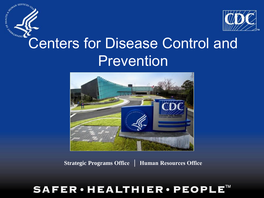

## Centers for Disease Control and Prevention

C OF HEALTH BY ASSAULT



**Strategic Programs Office │ Human Resources Office** 

## SAFER • HEALTHIER • PEOPLE™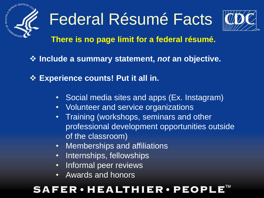

# Federal Résumé Facts



### **There is no page limit for a federal résumé.**

- **Include a summary statement,** *not* **an objective.**
- **Experience counts! Put it all in.**
	- Social media sites and apps (Ex. Instagram)
	- Volunteer and service organizations
	- Training (workshops, seminars and other professional development opportunities outside of the classroom)
	- Memberships and affiliations
	- Internships, fellowships
	- Informal peer reviews
	- Awards and honors

## **FER·HEALTHIER·PEOPL**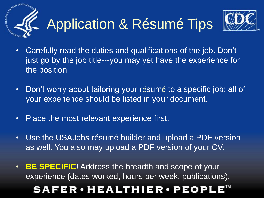

- Carefully read the duties and qualifications of the job. Don't just go by the job title---you may yet have the experience for the position.
- Don't worry about tailoring your résumé to a specific job; all of your experience should be listed in your document.
- Place the most relevant experience first.
- Use the USAJobs résumé builder and upload a PDF version as well. You also may upload a PDF version of your CV.

• **BE SPECIFIC**! Address the breadth and scope of your experience (dates worked, hours per week, publications). **SAFER·HEALTHIER·PEOPI**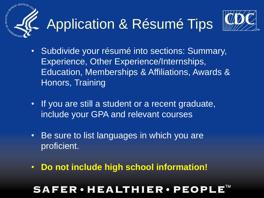

# Application & Résumé Tips



- Subdivide your résumé into sections: Summary, Experience, Other Experience/Internships, Education, Memberships & Affiliations, Awards & Honors, Training
- If you are still a student or a recent graduate, include your GPA and relevant courses
- Be sure to list languages in which you are proficient.
- **Do not include high school information!**

## **FER·HEALTHIER·PEOPL**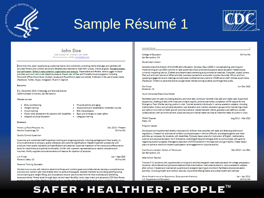

## Sample Résumé 1



#### **John Doe**

1234 Anytown Dr., Anytown, USA 12345 Tel: xxx-xxx-xxxx · E-mail: johndoe@me.com

More than five years' experience as a personal trainer and nutritionist, providing clients of all ages and abilities with accurate fitness and nutrition advice and detailed plans tailored to meet their unique, individual goals. Energeticleader, and self-statter. Skilled indata collection, organization and analysis. Dependable and flexible. Able to juggle multiple priorities and work well under deadline pressure. Expert user of Mac and PC platforms and programs, including Microsoft Office (Word, Excel, Outlook, Access and PowerPoint), Safari and Adobe. Proficient in the use of social media (Facebook, Twitter, Skype, Instagram). Fluent in Spanish.

#### **Four annum**

B.S., December 2013, Kinesiology and Exercise Science California State University, San Bernardino

#### **Related courses**

- · Body conditioning
- · Weight training
- · Circuit training
- . Physical activity and aging
- . Assessment and rehabilitation of athletic injuries
- · EKG interpretation . Lifeguard training
- . Motor skills assessment for persons with disabilities . Basic and emergency water safety
- · Adapted physical education
- Exposurate

Howewick Food Products, INC. Rancho Cucamonga, CA

Oct. 2013 - Present 40 Hrs/Wk

**Quality Control Supervisor** 

Supervise and coordinate staff inspecting incoming and outgoing products, including packaging and food quality, to ensure adherence to company quality standards and customer specifications. Repeat inspection procedures until products meet quality standards and specifications are attained. Supervise inspection of hot cocoa and coffee product tanks for cleanliness and optimal functionality. Confer with customer representatives to resolve complaints and inquiries. Notify suppliers and subcontractors of reasons for rejection of products.

LA Finance Moreno Valley, CA July - Sept 2013 40 Hrs/Wk

Personal Training Counselor

Worked one-on-one with clients to determine fitness and nutrition goals and collaboratively develop a comprehensive exercise and nutrition plan that enables them to achieve those goals. Assisted members by providing spotting during circuit training and weight lifting, and illustrate and ensure use of correct form for floor exercises and stretching. Assessed clients' fitness levels through basic (sit and reach flexibility, body mass index) and advanced (VO2 Max) fitness ومركز والمحاولة والمتوا والمتوا وموجودها ومزاويه والمراوات والمراوية والمراوية والمراوية والموارد المحالية والمحافظ

#### **Inux Doc Région**

**College of Education** San Bernardino, CA

40 Hrs/Wk

#### Government Ligison

Assisted executive director of the SUSB latino Education Advocacy Days (LEAD) in conceptualizing, planning and implementing annual LEAD summits to raise awareness of and promote discussions about education-related issues currently impacting Latinos. Drafted and disseminated marketing and promotional materials. Compiled, copied, sorted, filed and archived records of office activities, business transactions and public inquiries. Escorted VIPs to and from speaking engagements and meetings and delivered confidential documents to CSUSB senior staff. Utilized social media (Facebook, Twitter) to advertise events and generate interest among students and the general public.

**Oux House** Redlands, CA Jun-Dec 2012

Youth Advocate/Direct Care Worker

Facilitated peer-to-peer counseling sessions and twice daily workouts. Handled crisis calls and intake calls. Supervised departures, drafting of daily shift notes and incident reports, and ensured timely completion of CFS reports for the Emergency Teen Shelter serving youths in crisis. Tutored students individually in various academic subjects, including mathematics, history and physical education. Led relaxation and nutrition education groups while maintaining a clean and safe environment to foster growth and improvement. Liaised between clients, guardians and staff and worked collaboratively with law enforcement, social services and mental health services to meet the needs of youths in crisis.

**THINK Together** Rialto, CA

Aug 2011 - Mar 2012

#### Program Leader

Developed and implemented healthy meal plans for children that complied with state and federal guideline and regulations. Created fun activities all children could participate in without difficulty, and adapted games and other activities as necessary for students with disabilities. Followed lesson plans for instruction of English, mathematics, science and physical education for K-6 students. Used English/Spanish bilingual skills to communicate with parents regarding student progress. Managed a classroom of 25-30 students in the classroom and gym facility. Create lesson plans to achieve maximum student participation and engagement in physical activity.

| CASA RAMONA ACADEMY SCHOOL OF TECHNOLOGY | Dec 2010 - Jun 2011 |
|------------------------------------------|---------------------|
| San Bernardino, CA                       |                     |

After School Teacher

Tutored K-12 students with supplemental curricula and activities designed meet state standards for college preparatory students. Administered and proctored state and final examinations. Instructed students in various academic subjects after school. Created and maintained a positive and energetic learning environment. Facilitated physical education activities, including health and nutrition lectures, to promote lifelong habits and overall health and wellness.

| White House Initiative on Educational Excellence for Hispanics | Jan – Apr 2011 |
|----------------------------------------------------------------|----------------|
| U.S. Department of Education                                   | 40 Hrs / Wk    |

## SAFER • HEALTHIER • PEOPLE™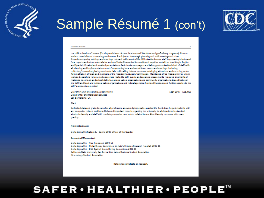

## Sample Résumé 1 (con't)



#### **JOHN DOC ROSUMO**

the office database/Listserv (Excel spreadsheets, Access database and Salesforce and govDeliverv programs). Greeted and escorted visitors to meetings and events. Participated in strategic planning and staff meetings and other Department policy briefings and meetings relevant to the work of the WHI. Assisted senior staff in preparing interim and final reports and other materials for senior officials. Responded to constituent inquiries verbally or in writing in English and Spanish. Created and updated presentations, fact sheets, one-pagers and talking points. Assisted chief of staff with all planning and implementation needs for upcoming local and out-of-town events and meetings, including collecting/researching background materials, cold-calling Listsery members, cataloging attendees, and escorting senior Administration officials and members of the President's Advisory Commission. Maintained office media archives, which included searching for any media coverage related to WHI events and speaking engagements. Prepared shipments of materials to schools and school districts, national Latino organizations and community organizations. Liaised between the WHI and local and national Latino organizations and federal agencies. Provided Facebook and Twitter updates to the WHI's accounts as needed.

CALIFORNIA STATE UNIVERSITY SAN BERNARDINO Data Center and Help Desk Services San Bernardino, CA

Sept 2007 - Aug 2010

#### $C$  last

Collected data and graded exams for all professors, answered phone calls, assisted the front desk, helped students with any computer related problems. Delivered important reports regarding the university to all departments. Assisted students, faculty and staff with resolving computer- and printer-related issues. Aided faculty members with exam crading.

#### **HONORS & AWARDS**

Delta Sigma Chi Fraternity - Spring 2009 Officer of the Quarter

#### APPILIATIONS/MEMSERSHIPS

Delta Sigma Chi - Vice President, 2009-10 Delta Sigma Chi - Philanthropy Committee-St. Jude's Children Research Hospital, 2006-11 Delta Sigma Chi - DSC Against Drunk Driving Committee, 2006-11 California State University San Bernardino Latino Business Student Association Kinesiology Student Association

References available on request.

### SAFER • HEALTHIER • PEOPLE™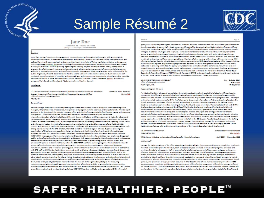## Sample Résumé 2

#### **Iane Doe**

1600 Clifton Rd. - Atlanta, GA 20222 (123) 456-7890 + (snados@outlook.com

#### **SUMMARY**

NEW YORK SERVICES

**KNAWLWWABO** 

8

More than 11 years' experience in management, communications and education and outreach, with an emohasis in workforce development, human capital management and planning, diversity and inclusion strategy implementation, and outroach to minority-serving schools and communities. Expert knowledge of federal legislation, initiatives and programs, including hiring authorities, that govern the hiring of underrepresented groups and promote the recruitment and upward mobility of minorities. Skilled in planning, organizing and directing projects for individuals and teams; accomplished in analysing the effectiveness of programs and operations and advising serior management of recommended changes. An authority in process improvement and transforming complex language and ideas into a language easily understood by the public. Organized, efficient, dependable and flexible. Able to work well under deadline pressure, Quick learner and selfmotivated. Expert knowledge of copyright and trademark laws and the processes for producing printed and online materials. Proficient in the use of social media platforms (Twitter, Facebook, Pinterest, Tumble, Instagram, Seddit), all Microsoft programs. The internet, and Google and Adobe applications. Fluent in Sourish.

#### **Experience**

December 2012 - Present U.S. DEPARTMENT OF HEALTH AND HUMAN SERVICES, CENTERSFOR DISEASECONTROLAND PREVENTION Stategic Programs Office, Human Capital and Resources Management Office 40 may / Wik Office of the Chief Operating Officer Atlanta, GA

#### Senior Advisor

Provide strategic direction on workforce planning, recruitment and outreach to multi-disciplined teams consisting office manages, HK professionals, IT specialists, management and program analysts, seentists, and budget analysts. Provide expet guidance to the directors of the Strategic Programs Office and the Chief Human Capital Officer (Human Capital and Resources Management Office director) to plan, develop and implement nationwide community and professional information/oducation efforts directed toward Minority-Seving Institutions and the employment of students, veterans and undempresented groups (Hapanies, persons with disabilities, etc.). Work in concert with the CDC's Office of the Assistant Director of Communications (OADC) to provide professional advice and expert guidance to the Chief Operating Officer, CHCO and other senior leaders in public affairs programming, media planning, and public awareness efforts that the OCOO, HCRMO and 370 use to conductor sponsor activities or collaborate with government or nongovernment organizations. Only talking points and reports for \$70 directors, the CHCO and other senior level agency officials. Supervise planning and coordination of the clearance, preparation, design, production and distribution of print, online and other audiovisual materials that carry the Centers for Disease Control and Prevention/Agency for Toxic Substances and Disease Registry's (CDC/ASTOR) messages or other minority employment/requitment information to candidates, new employees, the general public and professional audiences. Conceptualise and develop Web pares/mock-ups for internal customers and write copy as needed to ensure information provided is accurate, timely and adheres to plain writing policies. Analyse current and proposed HK policics to determine the impact on the CDC/ASTDK workforce planning programs. Work collaboratively with senior staff to develop or revise HK policies and practices, ensuring consistency with agency mission and long-range recruitment, retention and succession planning goals. Develop the annual recruitment and outreach calendar in partnership with 3PO staff and CDC-wide stakeholders, ensuring diversity and taking into account budgetary constraints and disseminate agency-wide. Fester and develop collaborative relationships with senior management and external officials, such as the Atlanta Human Resources Center (AHRC), executives and staff from within the Department of Health & Human Services and other federal agencies, including the Atlanta Federal Executive Soard, state and local partners, and national and international organizations. Provide recommendations on: workforce planning initiatives that assist senior agency officials in addressing the number and types of jobs that are needed to meet the mission of the organization; strategies for measuring competencies and addressing skill gaps; and how attrition has affected CDC's ability to accomplish its mission. Develop succession plans for senior leaders and technical pesitions with an emphasis on mission-critical occupations (MCOs). Develop presentation materials and conduct briefings to keep CDC/ASTOR centers, institutes and organizations (CICs) informed of

#### Jane Doe

approximate understanding and development along and activities. Providents and dash muting and special country for formal presentation to senior staff. Create current workforce profiles by reviewing trend data, projecting future workforce supply, and considering staffing levels, workforce skills, workforce demographics and emolowment trends. Develop complex statorics, to address future raps and surpluses. Make recommendations for adjustments in the workforce plan for the secnov as a result of unanticipated customer, leadership or legislative changes. Liabe with senior planning and human resources management officials in other federal agencies and private organizations to identify potential "best practices" and coordinate and resolve workforce planning problems. Maintain effective working relationships with minority-serving K-12 schools and school districts. Minority-Serving Institutions, community and faith-based organizations. White House Initiatives, and national and regional Hispanic-seving organizations. Represent the office and agency at federal and national events; participate in planning committees for approvisite, federal-wide and national Latino conferences, recruitment fairs and Hispanic executive and special emphasis events. Gather data on Hispanic requirement and outroach fiscal-vear activities and proposed activities from CDC context, offices and institutes and draft summaries for inclusion in the annual hederal texal Opportunity Recruitment Program (PEORP) Report. Represent HCRMO and provide authoritative advice and expert suidance as the HR Critical Partner during all HHS Enterprise Performance Lifecycle (EPLC) stage gate reviews.

| U.S. OFFICE OF PERSONNEL MANAGEMENT | July - October 2012 |
|-------------------------------------|---------------------|
| Office of Diversity & Inclusion     | 40-Haz/Mk           |
| Weshington, D.C.                    | 90-Day Datail       |

#### Hispanic Program Manager

o

Provided authoritative advice and consultation about Latino outreach methods applicable to federal workforce diversity. Represented the office and agency at federal and national events; participated in planning committees for agency-wide, fotosi-wide and national Latino conforonces, recruitment fairs and Hispanic and other diversity program events. Developed and implemented webinar series for OPM You Tube page to disseminate information on finding and applying to idos in the fotoni govommont, writing an offective résumé, and applying to Student Pathways programs to the national Latino, disability and veterans communities, induding students, faculty, and career counselors. Worked collaboratively with OPM's Employee Services, Veterans, Services, and the Office of the Director to plan and implement find and Apply National Workshops and roundtable discussions for Director Bony. Drafted invitations, agendas and other printed and online documents for dissemination to the public, and ereate orgs releases, one-oaners and talking points for senior staff. Maintained effective working relationships with other OPM offices, federal agencies, schools and school districts, Minority-Soving Institutions, community and faith-based organizations, White House Initiatives, and national and regional Hispanicsoving organizations. Edited control correspondence on behalf of the COI director. Assisted deputy director in the drafting and implementation of Hispanic Employment Program Manager (HSPM) training program for webinars and inclusion in national Latino conforences and local events. Assisted OPM policy counsel and chief of staff insetting up national Latino stakcholder conference calls and implementing meetings of the Hispanic Council on rederal employment.

| U.S. DEPARTMENT OF EDUCATION                                            | OCTOBER 2004 - NOVEMBER 2012 |
|-------------------------------------------------------------------------|------------------------------|
| WASHINGTON, D.C.                                                        | 404 Bas/208                  |
| White House Initiative on Educational Excellence for Hispanic Americans | April 2007 - November 2012   |

#### Chief of Staff

Oversaw the daily operations of the office, assigning and tracking all tasks, from conceptualization to completion. Developed, modified and directed plans for individual, team and special projects. Analysed and evaluated programs, processes and constituent needs to advise senior staff of approaches to take to meet agency and office mission and goals and improve dificiency. Recruited, selected/hired, supervised and evaluated more than 35 staff members, including career employees, interns and follows. Provided authoritative advice and consultation about the laws, regulations, principles and methods applicable to federal workforce diversity. Implemented a substantive year-round internship and detail program, to include recruitment of talented minorities from Hispanic-Serving Institutions or other partner postsecondary institutions and federal agencies, and placement of surplus human resources in other Departmental offices. Wrote articles for publication in £20 Matters quarterly newsletter. Collaborated with White House Office of Public Engagement, Office of the Secretary, Office of the Gonoral Council, Office of Managoment and Budget, and WHI senior staff to draft executive orders, charters, reports and proclamations for the president's signature. Set and reconciled annual and continuing resolution budgets for the office and

### SAFER • HEALTHIER • PEOPLE™



Page 2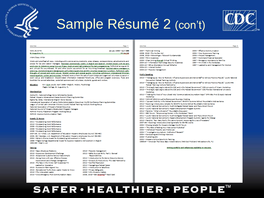

## Sample Résumé 2 (con't)



Page 9

| Jane Doe                                                                       | Paine                     |
|--------------------------------------------------------------------------------|---------------------------|
| WAYL 91.9 FM                                                                   | January 1996 - April 1996 |
| 51. Augustine, Naccessor accessor accessor accessor accessor accessor accessor |                           |

#### Intern/Cooy Write

Wrote and proofread all copy, including public service announcements, press releases, correspondence, advertisements and scripts for Ols and station managers. Seconded commercials weekly in English and Seanjah, Worked closely with Distanciριαδικεσ. Σε ιδεξασιίας 1905 line με ιδενα, πρόϊμα καθ light αλιώρου δες διέμερα μποπίου, Pofermed in a guest D and utilized the soundboard, PC and other studio equipment for an hour-long broadent. Assistad stating managements, alroping.ionelementing.and.comanica.ropual.lup/inica.antivities.and.thp.voluniess.comanities.lupdboo..Zedemet.walk-นี้เจนตัวเอโรงออจริเคลีเออร์เหอนอเ นิดจัดนี้เข่ามังต.คณิวออร์ค์เตเอร์เเบ็ตต์แม็อตเซอโห้ดจะอ.international.Christian. assadios saxial, wilso, sad minister, Collected revenue from the sale of event tickets and organized volunteers to assist in event set-up and breakdown. Disseminated information materials-breehures, office and program overviews, flyers and bookich-to concot sitendees, potential sponsors and voluntees, students, guests and visitors.

6.A. Cum Laude, April 1996 - Inglish, History, Psychology Education Hagler College, St. Augustine, FL

#### Memberships

Alpha Chi, National College Honor Scholarship Society Fotoni Hispanic Advancement Career Summit Planning Committee Sigma Tau Oclta, International English Honor Society International Association of Latino Public Administration Executives (IALPE) Conference Planning Committee Lassue of United Latin American Citizens (LULAC) Pederal Training Institute Working Group National Association of Hispanic Federal Executives National Council of Hispanic Employment Program Managers HCRMO Priority Placement Program Working Group **HCRMO Improve Communication Team** 

#### Awards & Honora

2011 - Outstanding Work Performance 2010 - Outstanding Work Poformance 2009 - Quistanding Work Performance 2008 - Outstanding Work Porformance 2006 - Quistanding Work Performance 2007-09, 12 - Chair, U.S. Department of Education Hispanic Employees Council (ED-HEC) 2005, 06 - Scordary, U.S. Dogarūment of Education Hispanic employees Council (ED-HEC) 2004 - Editor's Choice Award for Outstanding Achievement in Poetry 1996 - Flagler College Departmental Award for Superior Academic Achievement in English 1992-96 - Dom's List

#### **Technike**

- 2013 Smit Employee Kelations
- 2013 Supervisor Development Challenge
- 2013 Exceptional Customer Service Made Simple
- 2015 Doing More with Less: Effective Process
- Improvement and Change Management 2013 - The Face in the Mimor: Self Awareness-A
- Ladaship Importive
- 2013 Succession Planning and You
- 2015 Gonorational Truths Every Leader Needs to Know 2015 - The Introverted Leader
- 
- 2013 Crisis Emergency Misk Communication: Basic

2013 - Records Management 2012 - Safety Survival Skills, Part 1: General Raconsbildia 2012 - Introduction to the Senior Executive Service 2012 - Diversity & Productivity: The Ideal Partnership 2012 - Conflict Resolution 2012 - Navigating a Federal Career 2011 - Introduction to Salesforce 2010 - Privacy Safeguards 2009 - Why Diversity Matters 2008, 2015 - 05A Spackers<sup>6</sup> Travel Card

#### Jane Doe

#### 2007 - Technical Writing

- 2006. 2015 The No Fear Act 2006, 2015 - Telework gov: Telework Fundamentals 2005 - FOIA Awareness 2005 - Clear Writing Though Critical Thinking 2004-13 - Information Technology Security Awareness
- 2004-13 Ethics Orientation/Annual Refrasher
- 2004-13 Internal Control
- 2004-13 Records Management

2004 - Effective Communication 2004 - New Supervisors Training 2000 - Project Management 1997 - Command Financial Specialist 1997 - Recognized Assistance to Pamilica 1997 - HIV/AIDS in the Workplace 1997 - Loadcraftig and Management for Women

#### Public Socialing

- 2013 "Managing Up: How to Positively Influence Supervisors and Sonier Staff to Achieve Positive Results" LULAC National Convention Federal Training Institute
- 2013 "Managing Up: How to Positively Influence Supervisors and Senior Staff to Achieve Positive Results" LULAC-HHS Federal Thaining Institute Partnership
- 2015 "Finding & Applying to Jobs at the CDC and in the Federal Government" CDC-University of Miami Workshop
- 2013 "Finding & Applying to Jobs at the CDC and in the Federal Government" CDC-Florida International University **Madeline**
- 2012 "Making the Most of Your Liberal Arts/ Communications/Journalism Major" OPM-03U Find & Apply National Worldhoo
- 2012 NOMAR 2012 Annual Conference and Business Meding
- 2012 "Upward Mobility in the redeal Government" ED-DPM Summer School Noundtable Webinar Series
- 2012 Opening/ introductory remarks for ED-OPM Summer School Roundtable Webinar Series
- 2012 UUAC National Convention's Youth-Collegiate Federal Career and Recruitment Forum
- 2012 UUAC National Convention's Hispanic Employment Program Summit
- 2012 Pandist, "What is Diversity?" Noundable Discussion
- 2011 EEO Forum: "Empowering Women in the Workplace" Panel
- 2011 LULAC National Convention's Youth-Collegiate Federal Career and Recruitment Forum
- 2011 LULAC National Convention's Hispanic Employment Program Summit: Agents for Change
- 2010 Pandist, "Son. Hany Roid"s The Latino Summit: Improving the Lives of Newslans"
- 2007-09 Opening/ introductory/clasing romarks for ED-HEC events
- 2004 Closing romarks for Hispanic Horizon: Month forum
- 2004 "The ABCs of Getting Your Manuscript Published"
- 2004 Intellectual Property Law/Media Law
- 2004 "Investigative Journalism: Methods of Research"
- 2004 Conducting and Writing Interviews
- 2003 Publishing 101
- 2002 Hispanic Culture Sensitivity Training
- 1996-97 American Red Octo Base Indectrinations (NAS Cecil Field and NAS Jacksonville, FL)

#### Withia portolia and references aveilable corrected.

#### $\mathbf{E}^{\text{IM}}$ **SAFER·HEALTHIER·PEOPL**